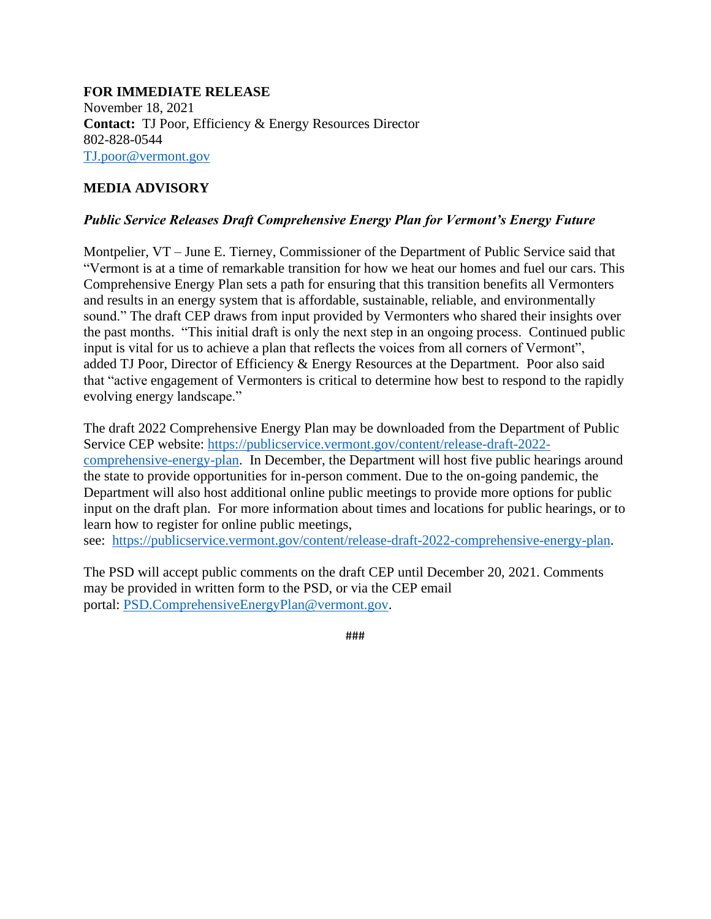## **FOR IMMEDIATE RELEASE** November 18, 2021 **Contact:** TJ Poor, Efficiency & Energy Resources Director 802-828-0544 [TJ.poor@vermont.gov](mailto:TJ.poor@vermont.gov)

## **MEDIA ADVISORY**

## *Public Service Releases Draft Comprehensive Energy Plan for Vermont's Energy Future*

Montpelier, VT – June E. Tierney, Commissioner of the Department of Public Service said that "Vermont is at a time of remarkable transition for how we heat our homes and fuel our cars. This Comprehensive Energy Plan sets a path for ensuring that this transition benefits all Vermonters and results in an energy system that is affordable, sustainable, reliable, and environmentally sound." The draft CEP draws from input provided by Vermonters who shared their insights over the past months. "This initial draft is only the next step in an ongoing process. Continued public input is vital for us to achieve a plan that reflects the voices from all corners of Vermont", added TJ Poor, Director of Efficiency & Energy Resources at the Department. Poor also said that "active engagement of Vermonters is critical to determine how best to respond to the rapidly evolving energy landscape."

The draft 2022 Comprehensive Energy Plan may be downloaded from the Department of Public Service CEP website: [https://publicservice.vermont.gov/content/release-draft-2022](https://publicservice.vermont.gov/content/release-draft-2022-comprehensive-energy-plan) [comprehensive-energy-plan.](https://publicservice.vermont.gov/content/release-draft-2022-comprehensive-energy-plan) In December, the Department will host five public hearings around the state to provide opportunities for in-person comment. Due to the on-going pandemic, the Department will also host additional online public meetings to provide more options for public input on the draft plan. For more information about times and locations for public hearings, or to learn how to register for online public meetings,

see: [https://publicservice.vermont.gov/content/release-draft-2022-comprehensive-energy-plan.](https://publicservice.vermont.gov/content/release-draft-2022-comprehensive-energy-plan)

The PSD will accept public comments on the draft CEP until December 20, 2021. Comments may be provided in written form to the PSD, or via the CEP email portal: [PSD.ComprehensiveEnergyPlan@vermont.gov.](mailto:PSD.ComprehensiveEnergyPlan@vermont.gov)

###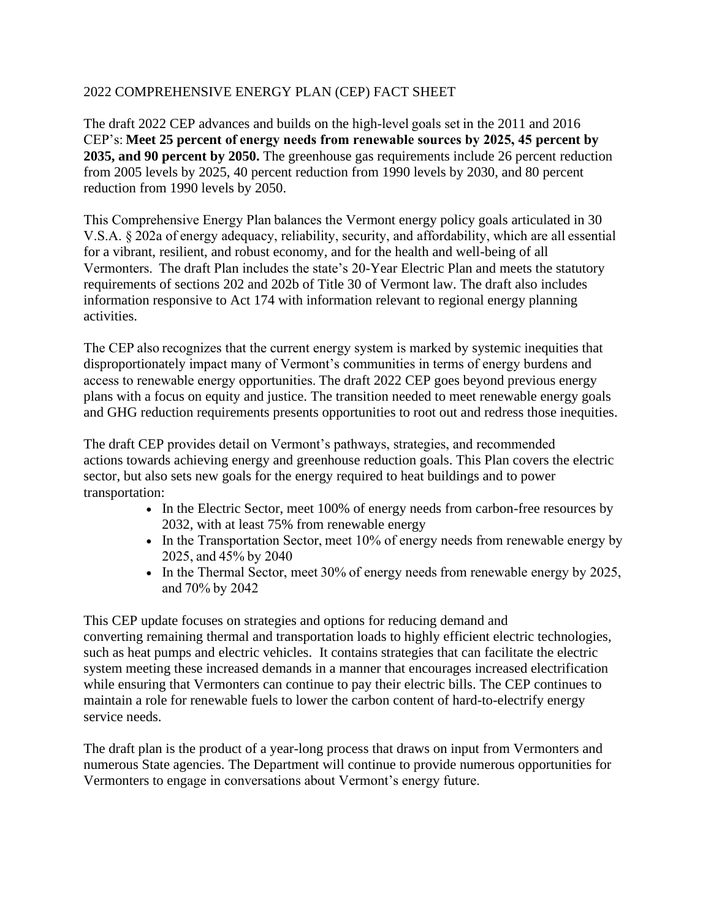## 2022 COMPREHENSIVE ENERGY PLAN (CEP) FACT SHEET

The draft 2022 CEP advances and builds on the high-level goals set in the 2011 and 2016 CEP's: **Meet 25 percent of energy needs from renewable sources by 2025, 45 percent by 2035, and 90 percent by 2050.** The greenhouse gas requirements include 26 percent reduction from 2005 levels by 2025, 40 percent reduction from 1990 levels by 2030, and 80 percent reduction from 1990 levels by 2050.

This Comprehensive Energy Plan balances the Vermont energy policy goals articulated in 30 V.S.A. § 202a of energy adequacy, reliability, security, and affordability, which are all essential for a vibrant, resilient, and robust economy, and for the health and well-being of all Vermonters.  The draft Plan includes the state's 20-Year Electric Plan and meets the statutory requirements of sections 202 and 202b of Title 30 of Vermont law. The draft also includes information responsive to Act 174 with information relevant to regional energy planning activities.

The CEP also recognizes that the current energy system is marked by systemic inequities that disproportionately impact many of Vermont's communities in terms of energy burdens and access to renewable energy opportunities. The draft 2022 CEP goes beyond previous energy plans with a focus on equity and justice. The transition needed to meet renewable energy goals and GHG reduction requirements presents opportunities to root out and redress those inequities.

The draft CEP provides detail on Vermont's pathways, strategies, and recommended actions towards achieving energy and greenhouse reduction goals. This Plan covers the electric sector, but also sets new goals for the energy required to heat buildings and to power transportation:

- In the Electric Sector, meet 100% of energy needs from carbon-free resources by 2032, with at least 75% from renewable energy
- In the Transportation Sector, meet 10% of energy needs from renewable energy by 2025, and 45% by 2040
- In the Thermal Sector, meet 30% of energy needs from renewable energy by 2025, and 70% by 2042

This CEP update focuses on strategies and options for reducing demand and converting remaining thermal and transportation loads to highly efficient electric technologies, such as heat pumps and electric vehicles. It contains strategies that can facilitate the electric system meeting these increased demands in a manner that encourages increased electrification while ensuring that Vermonters can continue to pay their electric bills. The CEP continues to maintain a role for renewable fuels to lower the carbon content of hard-to-electrify energy service needs.

The draft plan is the product of a year-long process that draws on input from Vermonters and numerous State agencies. The Department will continue to provide numerous opportunities for Vermonters to engage in conversations about Vermont's energy future.